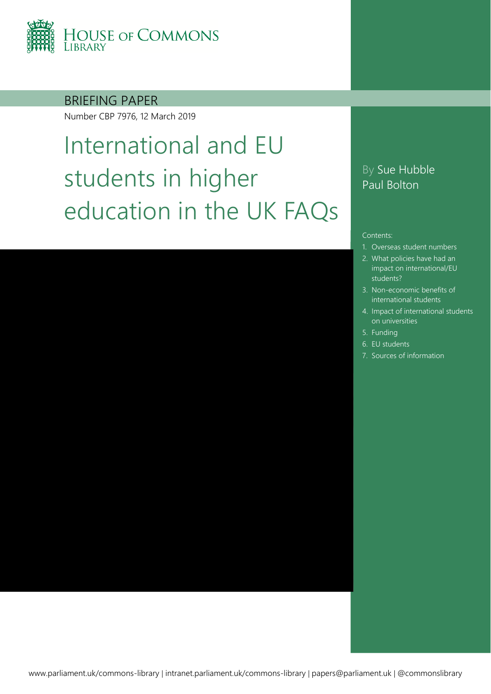

BRIEFING PAPER

Number CBP 7976, 12 March 2019

# International and EU students in higher education in the UK FAQs

### By Sue Hubble Paul Bolton

#### Contents:

- 1. [Overseas student numbers](#page-3-0)
- 2. [What policies have had an](#page-7-0)  impact on international/EU students?
- 3. [Non-economic benefits of](#page-10-0)  international students
- 4. [Impact of international students](#page-11-0)  on universities
- 5. [Funding](#page-12-0)
- 6. [EU students](#page-13-0)
- 7. [Sources of information](#page-18-0)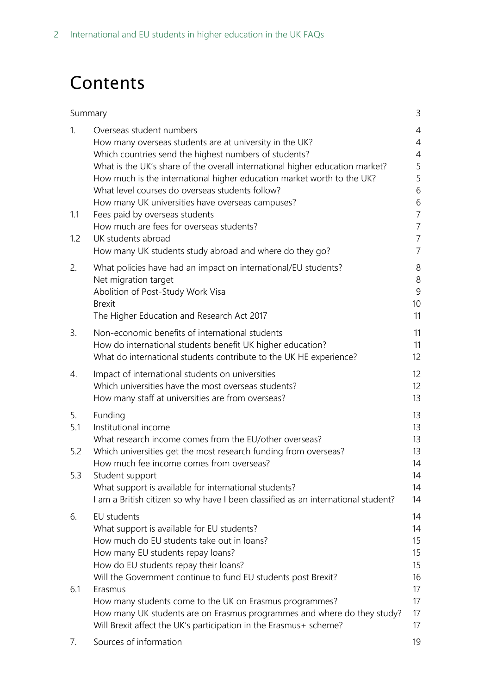## Contents

| Summary                 |                                                                                                                                                                                                                                                                                                                                                                                                                                                                                                                                                                              | 3                                                                                                                                 |
|-------------------------|------------------------------------------------------------------------------------------------------------------------------------------------------------------------------------------------------------------------------------------------------------------------------------------------------------------------------------------------------------------------------------------------------------------------------------------------------------------------------------------------------------------------------------------------------------------------------|-----------------------------------------------------------------------------------------------------------------------------------|
| 1.<br>1.1<br>1.2        | Overseas student numbers<br>How many overseas students are at university in the UK?<br>Which countries send the highest numbers of students?<br>What is the UK's share of the overall international higher education market?<br>How much is the international higher education market worth to the UK?<br>What level courses do overseas students follow?<br>How many UK universities have overseas campuses?<br>Fees paid by overseas students<br>How much are fees for overseas students?<br>UK students abroad<br>How many UK students study abroad and where do they go? | 4<br>$\overline{4}$<br>$\overline{4}$<br>5<br>5<br>6<br>6<br>$\overline{7}$<br>$\overline{7}$<br>$\overline{7}$<br>$\overline{7}$ |
| 2.                      | What policies have had an impact on international/EU students?<br>Net migration target<br>Abolition of Post-Study Work Visa<br><b>Brexit</b><br>The Higher Education and Research Act 2017                                                                                                                                                                                                                                                                                                                                                                                   | 8<br>$\,8\,$<br>$\overline{9}$<br>10<br>11                                                                                        |
| 3.                      | Non-economic benefits of international students<br>How do international students benefit UK higher education?<br>What do international students contribute to the UK HE experience?                                                                                                                                                                                                                                                                                                                                                                                          | 11<br>11<br>12                                                                                                                    |
| 4.                      | Impact of international students on universities<br>Which universities have the most overseas students?<br>How many staff at universities are from overseas?                                                                                                                                                                                                                                                                                                                                                                                                                 | 12<br>12<br>13                                                                                                                    |
| 5.<br>5.1<br>5.2<br>5.3 | Funding<br>Institutional income<br>What research income comes from the EU/other overseas?<br>Which universities get the most research funding from overseas?<br>How much fee income comes from overseas?<br>Student support<br>What support is available for international students?<br>I am a British citizen so why have I been classified as an international student?                                                                                                                                                                                                    | 13<br>13<br>13<br>13<br>14<br>14<br>14<br>14                                                                                      |
| 6.<br>6.1               | EU students<br>What support is available for EU students?<br>How much do EU students take out in loans?<br>How many EU students repay loans?<br>How do EU students repay their loans?<br>Will the Government continue to fund EU students post Brexit?<br>Erasmus<br>How many students come to the UK on Erasmus programmes?<br>How many UK students are on Erasmus programmes and where do they study?                                                                                                                                                                      | 14<br>14<br>15<br>15<br>15<br>16<br>17<br>17<br>17                                                                                |
| 7.                      | Will Brexit affect the UK's participation in the Erasmus+ scheme?<br>Sources of information                                                                                                                                                                                                                                                                                                                                                                                                                                                                                  | 17<br>19                                                                                                                          |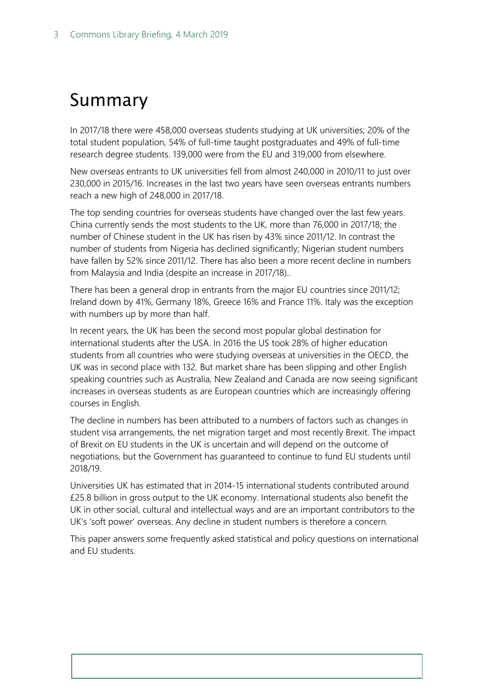## <span id="page-2-0"></span>Summary

In 2017/18 there were 458,000 overseas students studying at UK universities; 20% of the total student population, 54% of full-time taught postgraduates and 49% of full-time research degree students. 139,000 were from the EU and 319,000 from elsewhere.

New overseas entrants to UK universities fell from almost 240,000 in 2010/11 to just over 230,000 in 2015/16. Increases in the last two years have seen overseas entrants numbers reach a new high of 248,000 in 2017/18.

The top sending countries for overseas students have changed over the last few years. China currently sends the most students to the UK, more than 76,000 in 2017/18; the number of Chinese student in the UK has risen by 43% since 2011/12. In contrast the number of students from Nigeria has declined significantly; Nigerian student numbers have fallen by 52% since 2011/12. There has also been a more recent decline in numbers from Malaysia and India (despite an increase in 2017/18)..

There has been a general drop in entrants from the major EU countries since 2011/12; Ireland down by 41%, Germany 18%, Greece 16% and France 11%. Italy was the exception with numbers up by more than half.

In recent years, the UK has been the second most popular global destination for international students after the USA. In 2016 the US took 28% of higher education students from all countries who were studying overseas at universities in the OECD, the UK was in second place with 132. But market share has been slipping and other English speaking countries such as Australia, New Zealand and Canada are now seeing significant increases in overseas students as are European countries which are increasingly offering courses in English.

The decline in numbers has been attributed to a numbers of factors such as changes in student visa arrangements, the net migration target and most recently Brexit. The impact of Brexit on EU students in the UK is uncertain and will depend on the outcome of negotiations, but the Government has guaranteed to continue to fund EU students until 2018/19.

Universities UK has estimated that in 2014-15 international students contributed around £25.8 billion in gross output to the UK economy. International students also benefit the UK in other social, cultural and intellectual ways and are an important contributors to the UK's 'soft power' overseas. Any decline in student numbers is therefore a concern.

This paper answers some frequently asked statistical and policy questions on international and EU students.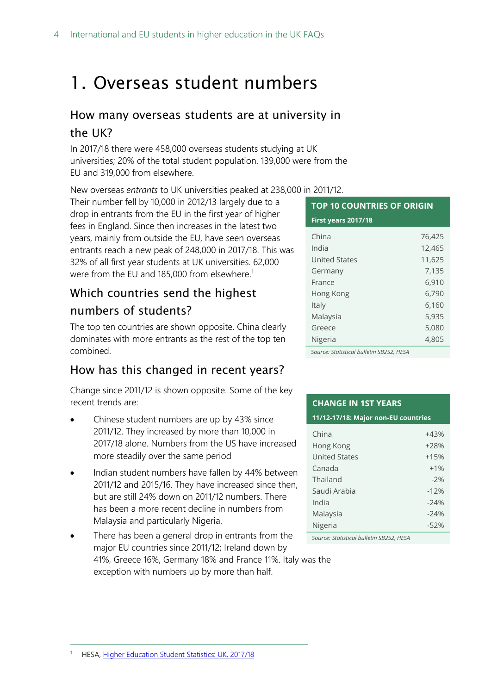## <span id="page-3-0"></span>1. Overseas student numbers

### <span id="page-3-1"></span>How many overseas students are at university in the UK?

In 2017/18 there were 458,000 overseas students studying at UK universities; 20% of the total student population. 139,000 were from the EU and 319,000 from elsewhere.

New overseas *entrants* to UK universities peaked at 238,000 in 2011/12.

Their number fell by 10,000 in 2012/13 largely due to a drop in entrants from the EU in the first year of higher fees in England. Since then increases in the latest two years, mainly from outside the EU, have seen overseas entrants reach a new peak of 248,000 in 2017/18. This was 32% of all first year students at UK universities. 62,000 were from the EU and 185,000 from elsewhere.<sup>1</sup>

### <span id="page-3-2"></span>Which countries send the highest numbers of students?

The top ten countries are shown opposite. China clearly dominates with more entrants as the rest of the top ten combined.

### How has this changed in recent years?

Change since 2011/12 is shown opposite. Some of the key recent trends are:

- Chinese student numbers are up by 43% since 2011/12. They increased by more than 10,000 in 2017/18 alone. Numbers from the US have increased more steadily over the same period
- Indian student numbers have fallen by 44% between 2011/12 and 2015/16. They have increased since then, but are still 24% down on 2011/12 numbers. There has been a more recent decline in numbers from Malaysia and particularly Nigeria.
- There has been a general drop in entrants from the major EU countries since 2011/12; Ireland down by 41%, Greece 16%, Germany 18% and France 11%. Italy was the exception with numbers up by more than half.

### **TOP 10 COUNTRIES OF ORIGIN** China 76,425 India 12,465 United States 11,625 Germany 7,135 France 6,910 Hong Kong 6,790 Italy 6,160 Malaysia 5,935 Greece 5,080 Nigeria 4,805 **First years 2017/18**

*Source: Statistical bulletin SB252, HESA*

#### **CHANGE IN 1ST YEARS**

**11/12-17/18: Major non-EU countries**

| China                | $+43%$ |
|----------------------|--------|
| Hong Kong            | $+28%$ |
| <b>United States</b> | $+15%$ |
| Canada               | $+1%$  |
| Thailand             | $-2%$  |
| Saudi Arabia         | $-12%$ |
| India                | $-24%$ |
| Malaysia             | $-24%$ |
| Nigeria              | $-52%$ |

*Source: Statistical bulletin SB252, HESA*

<sup>1</sup> HESA, [Higher Education Student Statistics: UK, 2017/18](https://www.hesa.ac.uk/news/17-01-2019/sb252-higher-education-student-statistics)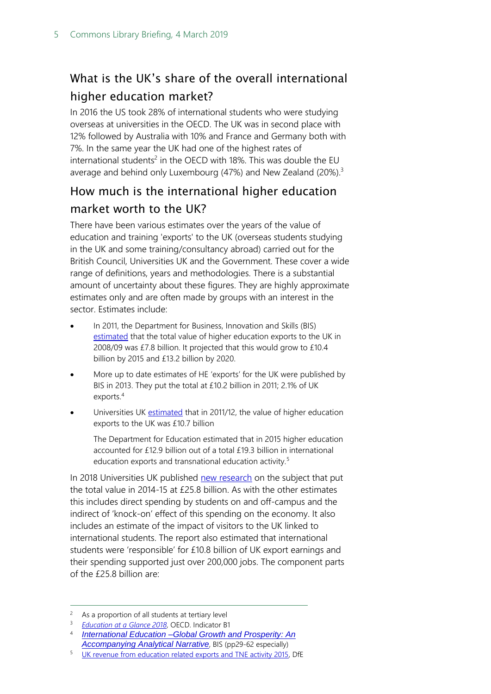## <span id="page-4-0"></span>What is the UK's share of the overall international higher education market?

In 2016 the US took 28% of international students who were studying overseas at universities in the OECD. The UK was in second place with 12% followed by Australia with 10% and France and Germany both with 7%. In the same year the UK had one of the highest rates of international students<sup>2</sup> in the OECD with 18%. This was double the EU average and behind only Luxembourg (47%) and New Zealand (20%).<sup>3</sup>

### <span id="page-4-1"></span>How much is the international higher education market worth to the UK?

There have been various estimates over the years of the value of education and training 'exports' to the UK (overseas students studying in the UK and some training/consultancy abroad) carried out for the British Council, Universities UK and the Government. These cover a wide range of definitions, years and methodologies. There is a substantial amount of uncertainty about these figures. They are highly approximate estimates only and are often made by groups with an interest in the sector. Estimates include:

- In 2011, the Department for Business, Innovation and Skills (BIS) [estimated](http://www.bis.gov.uk/assets/biscore/higher-education/docs/e/11-980-estimating-value-of-education-exports.pdf) that the total value of higher education exports to the UK in 2008/09 was £7.8 billion. It projected that this would grow to £10.4 billion by 2015 and £13.2 billion by 2020.
- More up to date estimates of HE 'exports' for the UK were published by BIS in 2013. They put the total at £10.2 billion in 2011; 2.1% of UK exports.<sup>4</sup>
- Universities UK [estimated](http://www.universitiesuk.ac.uk/policy-and-analysis/reports/Documents/2014/the-impact-of-universities-on-the-uk-economy.pdf) that in 2011/12, the value of higher education exports to the UK was £10.7 billion

The Department for Education estimated that in 2015 higher education accounted for £12.9 billion out of a total £19.3 billion in international education exports and transnational education activity.<sup>5</sup>

In 2018 Universities UK published [new research](http://www.universitiesuk.ac.uk/news/Pages/International-students-now-worth-25-billion-to-UK-economy---new-research.aspx) on the subject that put the total value in 2014-15 at £25.8 billion. As with the other estimates this includes direct spending by students on and off-campus and the indirect of 'knock-on' effect of this spending on the economy. It also includes an estimate of the impact of visitors to the UK linked to international students. The report also estimated that international students were 'responsible' for £10.8 billion of UK export earnings and their spending supported just over 200,000 jobs. The component parts of the £25.8 billion are:

 $\overline{a}$ 

<sup>2</sup> As a proportion of all students at tertiary level

<sup>3</sup> *[Education at a Glance 2018](http://www.oecd.org/education/education-at-a-glance/)*, OECD. Indicator B1

<sup>4</sup> *[International Education –Global Growth and Prosperity: An](https://www.gov.uk/government/uploads/system/uploads/attachment_data/file/340601/bis-13-1082-international-education-accompanying-analytical-narrative-revised.pdf#page=61)  [Accompanying Analytical Narrative](https://www.gov.uk/government/uploads/system/uploads/attachment_data/file/340601/bis-13-1082-international-education-accompanying-analytical-narrative-revised.pdf#page=61)*, BIS (pp29-62 especially)

<sup>5</sup> [UK revenue from education related exports and TNE activity 2015,](https://www.gov.uk/government/statistics/uk-revenue-from-education-related-exports-and-tne-activity-2015) DfE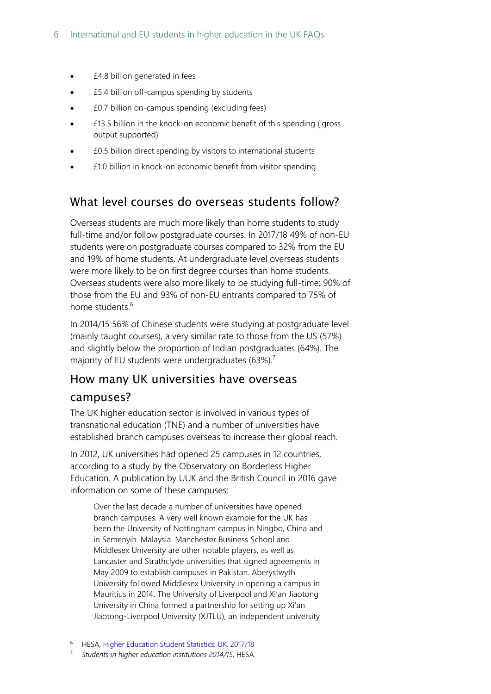- £4.8 billion generated in fees
- £5.4 billion off-campus spending by students
- £0.7 billion on-campus spending (excluding fees)
- £13.5 billion in the knock-on economic benefit of this spending ('gross output supported)
- £0.5 billion direct spending by visitors to international students
- £1.0 billion in knock-on economic benefit from visitor spending

### <span id="page-5-0"></span>What level courses do overseas students follow?

Overseas students are much more likely than home students to study full-time and/or follow postgraduate courses. In 2017/18 49% of non-EU students were on postgraduate courses compared to 32% from the EU and 19% of home students. At undergraduate level overseas students were more likely to be on first degree courses than home students. Overseas students were also more likely to be studying full-time; 90% of those from the EU and 93% of non-EU entrants compared to 75% of home students.<sup>6</sup>

In 2014/15 56% of Chinese students were studying at postgraduate level (mainly taught courses), a very similar rate to those from the US (57%) and slightly below the proportion of Indian postgraduates (64%). The majority of EU students were undergraduates (63%).<sup>7</sup>

### <span id="page-5-1"></span>How many UK universities have overseas campuses?

The UK higher education sector is involved in various types of transnational education (TNE) and a number of universities have established branch campuses overseas to increase their global reach.

In 2012, UK universities had opened 25 campuses in 12 countries, according to a study by the Observatory on Borderless Higher Education. A publication by UUK and the British Council in 2016 gave information on some of these campuses:

Over the last decade a number of universities have opened branch campuses. A very well known example for the UK has been the University of Nottingham campus in Ningbo, China and in Semenyih. Malaysia. Manchester Business School and Middlesex University are other notable players, as well as Lancaster and Strathclyde universities that signed agreements in May 2009 to establish campuses in Pakistan. Aberystwyth University followed Middlesex University in opening a campus in Mauritius in 2014. The University of Liverpool and Xi'an Jiaotong University in China formed a partnership for setting up Xi'an Jiaotong-Liverpool University (XJTLU), an independent university

 $\overline{a}$ 

HESA, [Higher Education Student Statistics: UK, 2017/18](https://www.hesa.ac.uk/news/17-01-2019/sb252-higher-education-student-statistics)

<sup>7</sup> *Students in higher education institutions 2014/15*, HESA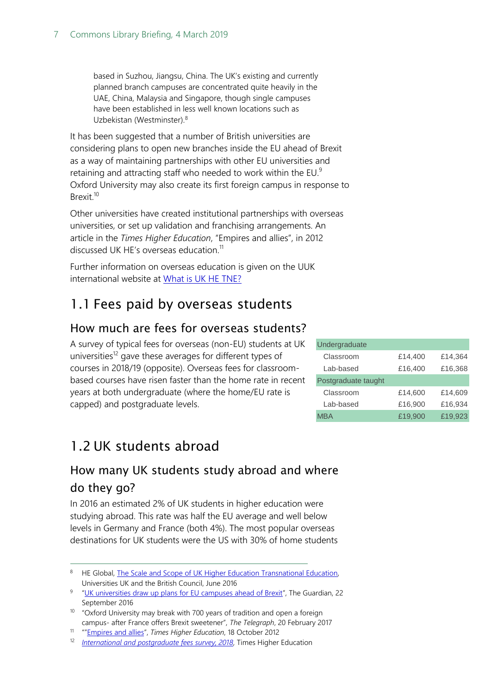based in Suzhou, Jiangsu, China. The UK's existing and currently planned branch campuses are concentrated quite heavily in the UAE, China, Malaysia and Singapore, though single campuses have been established in less well known locations such as Uzbekistan (Westminster).<sup>8</sup>

It has been suggested that a number of British universities are considering plans to open new branches inside the EU ahead of Brexit as a way of maintaining partnerships with other EU universities and retaining and attracting staff who needed to work within the EU.<sup>9</sup> Oxford University may also create its first foreign campus in response to Brexit.<sup>10</sup>

Other universities have created institutional partnerships with overseas universities, or set up validation and franchising arrangements. An article in the *Times Higher Education*, "Empires and allies", in 2012 discussed UK HE's overseas education.<sup>11</sup>

Further information on overseas education is given on the UUK international website at [What is UK HE TNE?](http://www.universitiesuk.ac.uk/International/heglobal/Pages/what-is-transnational-education.aspx)

### <span id="page-6-0"></span>1.1 Fees paid by overseas students

### <span id="page-6-1"></span>How much are fees for overseas students?

A survey of typical fees for overseas (non-EU) students at UK universities<sup>12</sup> gave these averages for different types of courses in 2018/19 (opposite). Overseas fees for classroombased courses have risen faster than the home rate in recent years at both undergraduate (where the home/EU rate is capped) and postgraduate levels. A survey of typical tees tor overseas (non-LU) students at UK<br>
undergraduate<br>
universities<sup>12</sup> gave these averages for different types of<br>
toolstoshould courses have risen faster than the home rate in recent<br>
Dostgraduate

| Undergraduate       |         |         |  |  |  |
|---------------------|---------|---------|--|--|--|
| Classroom           | £14,400 | £14,364 |  |  |  |
| Lab-based           | £16,400 | £16,368 |  |  |  |
| Postgraduate taught |         |         |  |  |  |
| Classroom           | £14,600 | £14,609 |  |  |  |
| Lab-based           | £16,900 | £16,934 |  |  |  |
| MBA                 | £19,900 | £19.923 |  |  |  |

### <span id="page-6-2"></span>1.2 UK students abroad

-

### <span id="page-6-3"></span>How many UK students study abroad and where do they go?

In 2016 an estimated 2% of UK students in higher education were studying abroad. This rate was half the EU average and well below levels in Germany and France (both 4%). The most popular overseas destinations for UK students were the US with 30% of home students

<sup>8</sup> HE Global, The Scale and Scope of UK Higher Education Transnational Education, Universities UK and the British Council, June 2016

<sup>&</sup>lt;sup>9</sup> "[UK universities draw up plans for EU campuses ahead of Brexit](https://www.theguardian.com/education/2016/sep/22/uk-universities-mull-eu-campuses-in-new-era-of-uncertainty)", The Guardian, 22 September 2016

<sup>10</sup> "Oxford University may break with 700 years of tradition and open a foreign campus- after France offers Brexit sweetener", *The Telegraph*, 20 February 2017

<sup>11</sup> ""[Empires and allies](https://www.timeshighereducation.com/features/empires-and-allies/421485.article)", *Times Higher Education*, 18 October 2012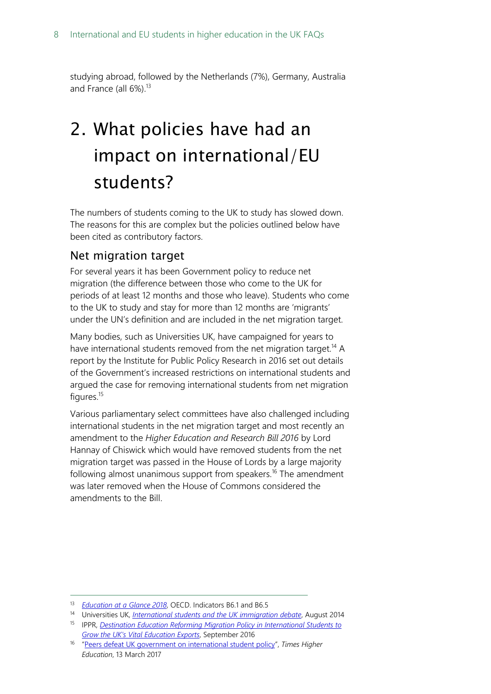studying abroad, followed by the Netherlands (7%), Germany, Australia and France (all 6%). 13

## <span id="page-7-0"></span>2. What policies have had an impact on international/EU students?

The numbers of students coming to the UK to study has slowed down. The reasons for this are complex but the policies outlined below have been cited as contributory factors.

### <span id="page-7-1"></span>Net migration target

For several years it has been Government policy to reduce net migration (the difference between those who come to the UK for periods of at least 12 months and those who leave). Students who come to the UK to study and stay for more than 12 months are 'migrants' under the UN's definition and are included in the net migration target.

Many bodies, such as Universities UK, have campaigned for years to have international students removed from the net migration target.<sup>14</sup> A report by the Institute for Public Policy Research in 2016 set out details of the Government's increased restrictions on international students and argued the case for removing international students from net migration figures.<sup>15</sup>

Various parliamentary select committees have also challenged including international students in the net migration target and most recently an amendment to the *Higher Education and Research Bill 2016* by Lord Hannay of Chiswick which would have removed students from the net migration target was passed in the House of Lords by a large majority following almost unanimous support from speakers. <sup>16</sup> The amendment was later removed when the House of Commons considered the amendments to the Bill.

<sup>13</sup> *[Education at a Glance 2018](http://www.oecd.org/education/education-at-a-glance/)*, OECD. Indicators B6.1 and B6.5

<sup>14</sup> Universities UK, *[International students and the UK immigration debate](http://www.universitiesuk.ac.uk/policy-and-analysis/reports/Documents/2014/international-students-immigration-debate.pdf)*, August 2014

<sup>15</sup> IPPR, *[Destination Education Reforming Migration Policy in International Students to](http://www.ippr.org/files/publications/pdf/destination-education_Oct16.pdf?noredirect=1)  [Grow the UK's Vital Education Exports](http://www.ippr.org/files/publications/pdf/destination-education_Oct16.pdf?noredirect=1)*, September 2016

<sup>16</sup> "[Peers defeat UK government on international student policy](https://www.timeshighereducation.com/news/peers-defeat-uk-government-international-student-policy)", *Times Higher Education*, 13 March 2017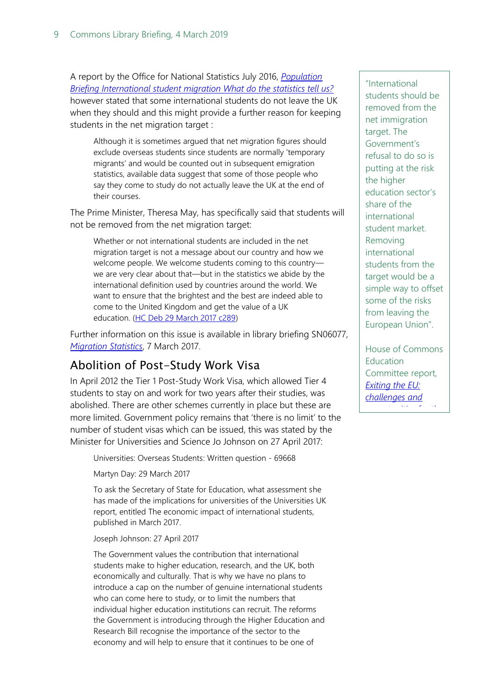A report by the Office for National Statistics July 2016, *[Population](http://webarchive.nationalarchives.gov.uk/20160105160709/http:/www.ons.gov.uk/ons/rel/migration1/long-term-international-migration/student-migration---what-do-the-statistics-tell-us-/student-migration---what-do-the-statistics-tell-us.pdf)  [Briefing International student migration What do the statistics tell us?](http://webarchive.nationalarchives.gov.uk/20160105160709/http:/www.ons.gov.uk/ons/rel/migration1/long-term-international-migration/student-migration---what-do-the-statistics-tell-us-/student-migration---what-do-the-statistics-tell-us.pdf)* however stated that some international students do not leave the UK when they should and this might provide a further reason for keeping students in the net migration target :

Although it is sometimes argued that net migration figures should exclude overseas students since students are normally 'temporary migrants' and would be counted out in subsequent emigration statistics, available data suggest that some of those people who say they come to study do not actually leave the UK at the end of their courses.

The Prime Minister, Theresa May, has specifically said that students will not be removed from the net migration target:

Whether or not international students are included in the net migration target is not a message about our country and how we welcome people. We welcome students coming to this country we are very clear about that—but in the statistics we abide by the international definition used by countries around the world. We want to ensure that the brightest and the best are indeed able to come to the United Kingdom and get the value of a UK education. [\(HC Deb 29 March 2017 c289\)](https://hansard.parliament.uk/Commons/2017-03-29/debates/A6DFE4A0-6AB1-4B71-BF25-376F52AF3300/Article50)

Further information on this issue is available in library briefing SN06077, *[Migration Statistics](http://researchbriefings.files.parliament.uk/documents/SN06077/SN06077.pdf)*, 7 March 2017.

### <span id="page-8-0"></span>Abolition of Post-Study Work Visa

In April 2012 the Tier 1 Post-Study Work Visa, which allowed Tier 4 students to stay on and work for two years after their studies, was abolished. There are other schemes currently in place but these are more limited. Government policy remains that 'there is no limit' to the number of student visas which can be issued, this was stated by the Minister for Universities and Science Jo Johnson on 27 April 2017:

Universities: Overseas Students: Written question - 69668

Martyn Day: 29 March 2017

To ask the Secretary of State for Education, what assessment she has made of the implications for universities of the Universities UK report, entitled The economic impact of international students, published in March 2017.

Joseph Johnson: 27 April 2017

The Government values the contribution that international students make to higher education, research, and the UK, both economically and culturally. That is why we have no plans to introduce a cap on the number of genuine international students who can come here to study, or to limit the numbers that individual higher education institutions can recruit. The reforms the Government is introducing through the Higher Education and Research Bill recognise the importance of the sector to the economy and will help to ensure that it continues to be one of

"International students should be removed from the net immigration target. The Government's refusal to do so is putting at the risk the higher education sector's share of the international student market. Removing international students from the target would be a simple way to offset some of the risks from leaving the European Union".

House of Commons **Education** Committee report, *[Exiting the EU:](https://www.publications.parliament.uk/pa/cm201617/cmselect/cmeduc/683/683.pdf)  [challenges and](https://www.publications.parliament.uk/pa/cm201617/cmselect/cmeduc/683/683.pdf)  [opportunities for the](https://www.publications.parliament.uk/pa/cm201617/cmselect/cmeduc/683/683.pdf)*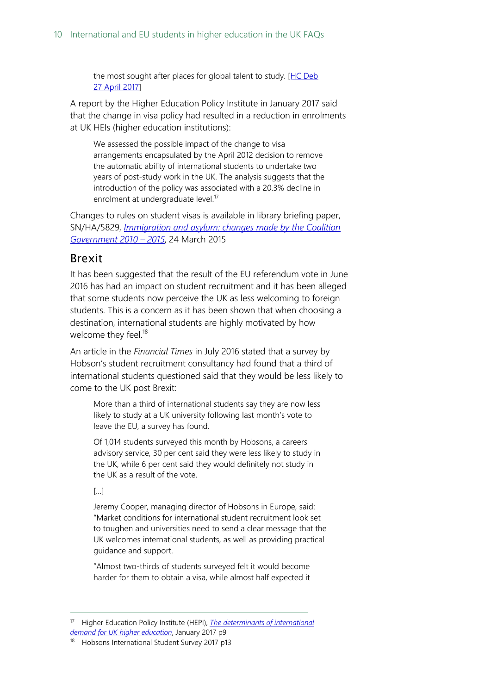the most sought after places for global talent to study. [HC Deb [27 April](http://www.parliament.uk/written-questions-answers-statements/written-question/commons/2017-03-29/69668) 2017]

A report by the Higher Education Policy Institute in January 2017 said that the change in visa policy had resulted in a reduction in enrolments at UK HEIs (higher education institutions):

We assessed the possible impact of the change to visa arrangements encapsulated by the April 2012 decision to remove the automatic ability of international students to undertake two years of post-study work in the UK. The analysis suggests that the introduction of the policy was associated with a 20.3% decline in enrolment at undergraduate level.<sup>17</sup>

Changes to rules on student visas is available in library briefing paper, SN/HA/5829, *[Immigration and asylum: changes made by the Coalition](http://researchbriefings.intranet.parliament.uk/ResearchBriefing/Summary/SN05829)  [Government](http://researchbriefings.intranet.parliament.uk/ResearchBriefing/Summary/SN05829) 2010 – 2015*, 24 March 2015

#### <span id="page-9-0"></span>Brexit

It has been suggested that the result of the EU referendum vote in June 2016 has had an impact on student recruitment and it has been alleged that some students now perceive the UK as less welcoming to foreign students. This is a concern as it has been shown that when choosing a destination, international students are highly motivated by how welcome they feel. $^{18}$ 

An article in the *Financial Times* in July 2016 stated that a survey by Hobson's student recruitment consultancy had found that a third of international students questioned said that they would be less likely to come to the UK post Brexit:

More than a third of international students say they are now less likely to study at a UK university following last month's vote to leave the EU, a survey has found.

Of 1,014 students surveyed this month by Hobsons, a careers advisory service, 30 per cent said they were less likely to study in the UK, while 6 per cent said they would definitely not study in the UK as a result of the vote.

#### […]

 $\overline{a}$ 

Jeremy Cooper, managing director of Hobsons in Europe, said: "Market conditions for international student recruitment look set to toughen and universities need to send a clear message that the UK welcomes international students, as well as providing practical guidance and support.

"Almost two-thirds of students surveyed felt it would become harder for them to obtain a visa, while almost half expected it

<sup>17</sup> Higher Education Policy Institute (HEPI), *[The determinants of international](http://www.hepi.ac.uk/wp-content/uploads/2017/01/Hepi-Report-91-Screen.pdf) [demand for UK higher education](http://www.hepi.ac.uk/wp-content/uploads/2017/01/Hepi-Report-91-Screen.pdf)*, January 2017 p9

Hobsons International Student Survey 2017 p13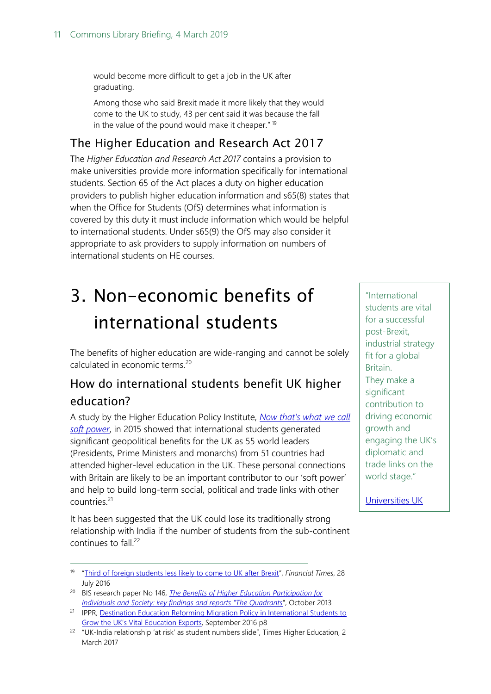would become more difficult to get a job in the UK after graduating.

Among those who said Brexit made it more likely that they would come to the UK to study, 43 per cent said it was because the fall in the value of the pound would make it cheaper."<sup>19</sup>

### <span id="page-10-1"></span>The Higher Education and Research Act 2017

The *Higher Education and Research Act 2017* contains a provision to make universities provide more information specifically for international students. Section 65 of the Act places a duty on higher education providers to publish higher education information and s65(8) states that when the Office for Students (OfS) determines what information is covered by this duty it must include information which would be helpful to international students. Under s65(9) the OfS may also consider it appropriate to ask providers to supply information on numbers of international students on HE courses.

## <span id="page-10-0"></span>3. Non-economic benefits of international students

The benefits of higher education are wide-ranging and cannot be solely calculated in economic terms.<sup>20</sup>

### <span id="page-10-2"></span>How do international students benefit UK higher education?

A study by the Higher Education Policy Institute, *[Now that's what we call](http://www.hepi.ac.uk/2015/10/01/now-thats-call-soft-power-55-world-leaders-educated-uk/)  [soft power](http://www.hepi.ac.uk/2015/10/01/now-thats-call-soft-power-55-world-leaders-educated-uk/)*, in 2015 showed that international students generated significant geopolitical benefits for the UK as 55 world leaders (Presidents, Prime Ministers and monarchs) from 51 countries had attended higher-level education in the UK. These personal connections with Britain are likely to be an important contributor to our 'soft power' and help to build long-term social, political and trade links with other countries.<sup>21</sup>

It has been suggested that the UK could lose its traditionally strong relationship with India if the number of students from the sub-continent continues to fall.<sup>22</sup>

-

"International students are vital for a successful post-Brexit, industrial strategy fit for a global Britain. They make a significant contribution to driving economic growth and engaging the UK's diplomatic and trade links on the world stage."

[Universities UK](http://www.universitiesuk.ac.uk/policy-and-analysis/reports/Documents/2017/final-uuk-briefing-lord-hannay-amendment-ping-pong-hofc.pdf)  <u>[Parliamentary](http://www.universitiesuk.ac.uk/policy-and-analysis/reports/Documents/2017/final-uuk-briefing-lord-hannay-amendment-ping-pong-hofc.pdf) (p. 1952)</u><br>1900 - Parliamentary (p. 1952)<br>1900 - Parliamentary (p. 1962)

<sup>19</sup> "[Third of foreign students less likely to come to UK after Brexit](https://www.ft.com/content/c179cb10-53f3-11e6-9664-e0bdc13c3bef)", *Financial Times*, 28 July 2016

<sup>20</sup> BIS research paper No 146, *[The Benefits of Higher Education Participation for](https://www.gov.uk/government/publications/benefits-of-participating-in-higher-education-key-findings-and-reports-quadrants)  [Individuals and Society: key findings and reports "The Quadrants](https://www.gov.uk/government/publications/benefits-of-participating-in-higher-education-key-findings-and-reports-quadrants)*", October 2013

<sup>&</sup>lt;sup>21</sup> IPPR, Destination Education Reforming Migration Policy in International Students to [Grow the UK's Vital Education Exports](http://www.ippr.org/files/publications/pdf/destination-education_Oct16.pdf?noredirect=1), September 2016 p8

 $22$  "UK-India relationship 'at risk' as student numbers slide", Times Higher Education, 2 March 2017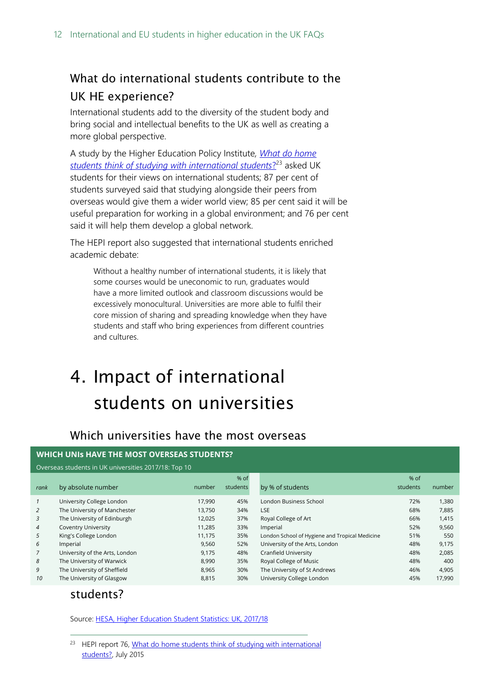### <span id="page-11-1"></span>What do international students contribute to the UK HE experience?

International students add to the diversity of the student body and bring social and intellectual benefits to the UK as well as creating a more global perspective.

A study by the Higher Education Policy Institute*, [What do home](https://www.heacademy.ac.uk/system/files/resources/HEPI_IntlStudentsReport.pdf)  [students think of studying with international students](https://www.heacademy.ac.uk/system/files/resources/HEPI_IntlStudentsReport.pdf)*? <sup>23</sup> asked UK students for their views on international students; 87 per cent of students surveyed said that studying alongside their peers from overseas would give them a wider world view; 85 per cent said it will be useful preparation for working in a global environment; and 76 per cent said it will help them develop a global network.

The HEPI report also suggested that international students enriched academic debate:

Without a healthy number of international students, it is likely that some courses would be uneconomic to run, graduates would have a more limited outlook and classroom discussions would be excessively monocultural. Universities are more able to fulfil their core mission of sharing and spreading knowledge when they have students and staff who bring experiences from different countries and cultures.

## <span id="page-11-0"></span>4. Impact of international students on universities

### <span id="page-11-2"></span>Which universities have the most overseas

| WHICH UNIS HAVE THE MOST OVERSEAS STUDENTS?          |                                |        |          |                                                |          |        |  |
|------------------------------------------------------|--------------------------------|--------|----------|------------------------------------------------|----------|--------|--|
| Overseas students in UK universities 2017/18: Top 10 |                                |        |          |                                                |          |        |  |
|                                                      |                                |        | % of     |                                                | % of     |        |  |
| rank                                                 | by absolute number             | number | students | by % of students                               | students | number |  |
| $\mathcal{I}$                                        | University College London      | 17,990 | 45%      | London Business School                         | 72%      | 1,380  |  |
| 2                                                    | The University of Manchester   | 13,750 | 34%      | LSE                                            | 68%      | 7,885  |  |
| 3                                                    | The University of Edinburgh    | 12,025 | 37%      | Royal College of Art                           | 66%      | 1,415  |  |
| $\overline{4}$                                       | <b>Coventry University</b>     | 11,285 | 33%      | Imperial                                       | 52%      | 9,560  |  |
| 5                                                    | King's College London          | 11,175 | 35%      | London School of Hygiene and Tropical Medicine | 51%      | 550    |  |
| 6                                                    | Imperial                       | 9,560  | 52%      | University of the Arts, London                 | 48%      | 9,175  |  |
| $\overline{7}$                                       | University of the Arts, London | 9,175  | 48%      | Cranfield University                           | 48%      | 2,085  |  |
| 8                                                    | The University of Warwick      | 8,990  | 35%      | Royal College of Music                         | 48%      | 400    |  |
| 9                                                    | The University of Sheffield    | 8,965  | 30%      | The University of St Andrews                   | 46%      | 4,905  |  |
| 10                                                   | The University of Glasgow      | 8,815  | 30%      | University College London                      | 45%      | 17,990 |  |

### students?

 $\overline{a}$ 

Source: [HESA, Higher Education Student Statistics: UK, 2017/18](https://www.hesa.ac.uk/news/17-01-2019/sb252-higher-education-student-statistics)

<sup>&</sup>lt;sup>23</sup> HEPI report 76, What do home students think of studying with international [students?,](https://www.heacademy.ac.uk/system/files/resources/HEPI_IntlStudentsReport.pdf) July 2015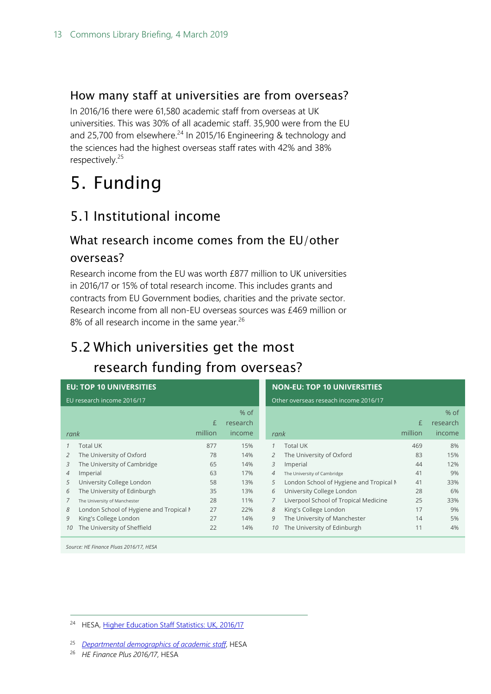### <span id="page-12-1"></span>How many staff at universities are from overseas?

In 2016/16 there were 61,580 academic staff from overseas at UK universities. This was 30% of all academic staff. 35,900 were from the EU and 25,700 from elsewhere.<sup>24</sup> In 2015/16 Engineering & technology and the sciences had the highest overseas staff rates with 42% and 38% respectively.<sup>25</sup>

## <span id="page-12-0"></span>5. Funding

### <span id="page-12-2"></span>5.1 Institutional income

### <span id="page-12-3"></span>What research income comes from the EU/other

#### overseas?

Research income from the EU was worth £877 million to UK universities in 2016/17 or 15% of total research income. This includes grants and contracts from EU Government bodies, charities and the private sector. Research income from all non-EU overseas sources was £469 million or 8% of all research income in the same year.<sup>26</sup>

## <span id="page-12-4"></span>5.2 Which universities get the most research funding from overseas?

|                            | <b>EU: TOP 10 UNIVERSITIES</b>          |         |          |    | <b>NON-EU: TOP 10 UNIVERSITIES</b>      |         |          |  |
|----------------------------|-----------------------------------------|---------|----------|----|-----------------------------------------|---------|----------|--|
| EU research income 2016/17 |                                         |         |          |    | Other overseas reseach income 2016/17   |         |          |  |
|                            |                                         |         | $%$ of   |    |                                         |         | $%$ of   |  |
|                            |                                         | £       | research |    |                                         | £       | research |  |
| rank                       |                                         | million | income   |    | rank                                    | million | income   |  |
|                            | <b>Total UK</b>                         | 877     | 15%      |    | <b>Total UK</b>                         | 469     | 8%       |  |
| 2                          | The University of Oxford                | 78      | 14%      | 2  | The University of Oxford                | 83      | 15%      |  |
| 3                          | The University of Cambridge             | 65      | 14%      | 3  | Imperial                                | 44      | 12%      |  |
| 4                          | Imperial                                | 63      | 17%      | 4  | The University of Cambridge             | 41      | 9%       |  |
| 5                          | University College London               | 58      | 13%      | 5  | London School of Hygiene and Tropical M | 41      | 33%      |  |
| 6                          | The University of Edinburgh             | 35      | 13%      | 6  | University College London               | 28      | 6%       |  |
|                            | The University of Manchester            | 28      | 11%      |    | Liverpool School of Tropical Medicine   | 25      | 33%      |  |
| 8                          | London School of Hygiene and Tropical M | 27      | 22%      | 8  | King's College London                   | 17      | 9%       |  |
| 9                          | King's College London                   | 27      | 14%      | 9  | The University of Manchester            | 14      | 5%       |  |
| 10                         | The University of Sheffield             | 22      | 14%      | 10 | The University of Edinburgh             | 11      | 4%       |  |

*Source: HE Finance Pluas 2016/17, HESA*

 $\overline{a}$ 

<sup>24</sup> HESA, [Higher Education Staff Statistics: UK, 2016/17](https://www.hesa.ac.uk/news/18-01-2018/sfr248-higher-education-staff-statistics)

<sup>26</sup> *HE Finance Plus 2016/17*, HESA

<sup>25</sup> *[Departmental demographics of academic staff](https://www.hesa.ac.uk/news/23-02-2017/departmental-demographics-academic-staff)*, HESA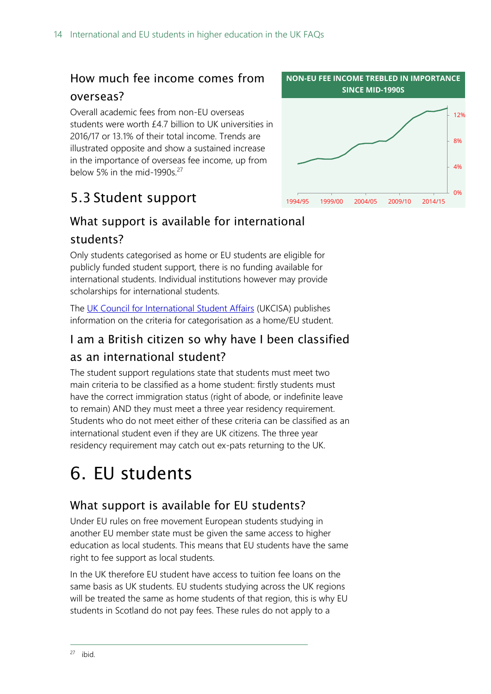### <span id="page-13-1"></span>How much fee income comes from

#### overseas?

Overall academic fees from non-EU overseas students were worth £4.7 billion to UK universities in 2016/17 or 13.1% of their total income. Trends are illustrated opposite and show a sustained increase in the importance of overseas fee income, up from below 5% in the mid-1990s. $27$ 

### <span id="page-13-2"></span>5.3 Student support

### <span id="page-13-3"></span>What support is available for international students?

Only students categorised as home or EU students are eligible for publicly funded student support, there is no funding available for international students. Individual institutions however may provide scholarships for international students.

The [UK Council for International Student Affairs](https://www.ukcisa.org.uk/) (UKCISA) publishes information on the criteria for categorisation as a home/EU student.

### <span id="page-13-4"></span>I am a British citizen so why have I been classified as an international student?

The student support regulations state that students must meet two main criteria to be classified as a home student: firstly students must have the correct immigration status (right of abode, or indefinite leave to remain) AND they must meet a three year residency requirement. Students who do not meet either of these criteria can be classified as an international student even if they are UK citizens. The three year residency requirement may catch out ex-pats returning to the UK.

## <span id="page-13-0"></span>6. EU students

### <span id="page-13-5"></span>What support is available for EU students?

Under EU rules on free movement European students studying in another EU member state must be given the same access to higher education as local students. This means that EU students have the same right to fee support as local students.

In the UK therefore EU student have access to tuition fee loans on the same basis as UK students. EU students studying across the UK regions will be treated the same as home students of that region, this is why EU students in Scotland do not pay fees. These rules do not apply to a

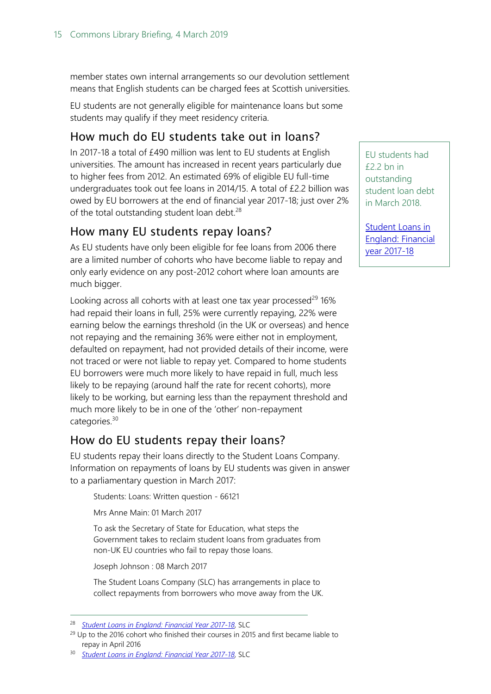member states own internal arrangements so our devolution settlement means that English students can be charged fees at Scottish universities.

EU students are not generally eligible for maintenance loans but some students may qualify if they meet residency criteria.

### <span id="page-14-0"></span>How much do EU students take out in loans?

In 2017-18 a total of £490 million was lent to EU students at English universities. The amount has increased in recent years particularly due to higher fees from 2012. An estimated 69% of eligible EU full-time undergraduates took out fee loans in 2014/15. A total of £2.2 billion was owed by EU borrowers at the end of financial year 2017-18; just over 2% of the total outstanding student loan debt. $28$ 

### <span id="page-14-1"></span>How many EU students repay loans?

As EU students have only been eligible for fee loans from 2006 there are a limited number of cohorts who have become liable to repay and only early evidence on any post-2012 cohort where loan amounts are much bigger.

Looking across all cohorts with at least one tax year processed $^{29}$  16% had repaid their loans in full, 25% were currently repaying, 22% were earning below the earnings threshold (in the UK or overseas) and hence not repaying and the remaining 36% were either not in employment, defaulted on repayment, had not provided details of their income, were not traced or were not liable to repay yet. Compared to home students EU borrowers were much more likely to have repaid in full, much less likely to be repaying (around half the rate for recent cohorts), more likely to be working, but earning less than the repayment threshold and much more likely to be in one of the 'other' non-repayment categories.<sup>30</sup>

### <span id="page-14-2"></span>How do EU students repay their loans?

EU students repay their loans directly to the Student Loans Company. Information on repayments of loans by EU students was given in answer to a parliamentary question in March 2017:

Students: Loans: Written question - 66121

Mrs Anne Main: 01 March 2017

To ask the Secretary of State for Education, what steps the Government takes to reclaim student loans from graduates from non-UK EU countries who fail to repay those loans.

Joseph Johnson : 08 March 2017

 $\overline{a}$ 

The Student Loans Company (SLC) has arrangements in place to collect repayments from borrowers who move away from the UK. EU students had £2.2 bn in outstanding student loan debt in March 2018.

[Student Loans in](https://www.slc.co.uk/media/10022/slcsp012018.pdf)  [England: Financial](https://www.slc.co.uk/media/10022/slcsp012018.pdf)  [year 2017-18](https://www.slc.co.uk/media/10022/slcsp012018.pdf)

<sup>28</sup> *[Student Loans in England: Financial Year 2017-18](http://www.slc.co.uk/official-statistics/student-loans-debt-and-repayment/england.aspx)*, SLC

<sup>&</sup>lt;sup>29</sup> Up to the 2016 cohort who finished their courses in 2015 and first became liable to repay in April 2016

<sup>30</sup> *[Student Loans in England: Financial Year 2017-18](http://www.slc.co.uk/official-statistics/student-loans-debt-and-repayment/england.aspx)*, SLC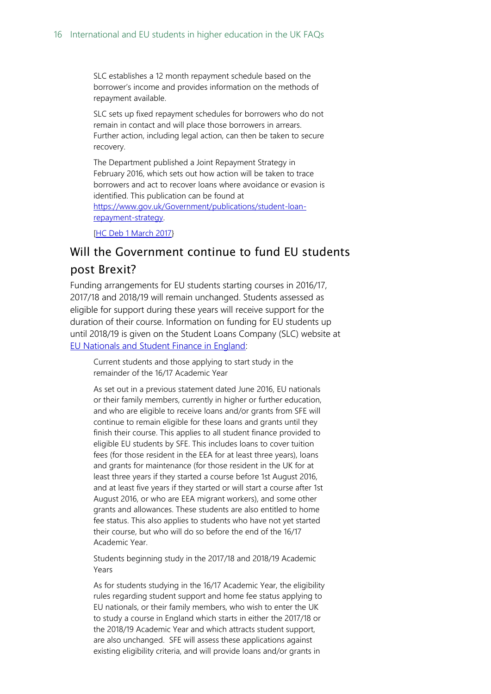SLC establishes a 12 month repayment schedule based on the borrower's income and provides information on the methods of repayment available.

SLC sets up fixed repayment schedules for borrowers who do not remain in contact and will place those borrowers in arrears. Further action, including legal action, can then be taken to secure recovery.

The Department published a Joint Repayment Strategy in February 2016, which sets out how action will be taken to trace borrowers and act to recover loans where avoidance or evasion is identified. This publication can be found at [https://www.gov.uk/Government/publications/student-loan](https://www.gov.uk/government/publications/student-loan-repayment-strategy)[repayment-strategy.](https://www.gov.uk/government/publications/student-loan-repayment-strategy)

[\[HC Deb 1 March 2017}](http://www.parliament.uk/written-questions-answers-statements/written-question/commons/2017-03-01/66121)

#### <span id="page-15-0"></span>Will the Government continue to fund EU students

#### post Brexit?

Funding arrangements for EU students starting courses in 2016/17, 2017/18 and 2018/19 will remain unchanged. Students assessed as eligible for support during these years will receive support for the duration of their course. Information on funding for EU students up until 2018/19 is given on the Student Loans Company (SLC) website at [EU Nationals and Student Finance in England:](https://www.slc.co.uk/media/latest-news/eu-nationals-and-student-finance-in-england-1.aspx)

Current students and those applying to start study in the remainder of the 16/17 Academic Year

As set out in a previous statement dated June 2016, EU nationals or their family members, currently in higher or further education, and who are eligible to receive loans and/or grants from SFE will continue to remain eligible for these loans and grants until they finish their course. This applies to all student finance provided to eligible EU students by SFE. This includes loans to cover tuition fees (for those resident in the EEA for at least three years), loans and grants for maintenance (for those resident in the UK for at least three years if they started a course before 1st August 2016, and at least five years if they started or will start a course after 1st August 2016, or who are EEA migrant workers), and some other grants and allowances. These students are also entitled to home fee status. This also applies to students who have not yet started their course, but who will do so before the end of the 16/17 Academic Year.

Students beginning study in the 2017/18 and 2018/19 Academic Years

As for students studying in the 16/17 Academic Year, the eligibility rules regarding student support and home fee status applying to EU nationals, or their family members, who wish to enter the UK to study a course in England which starts in either the 2017/18 or the 2018/19 Academic Year and which attracts student support, are also unchanged. SFE will assess these applications against existing eligibility criteria, and will provide loans and/or grants in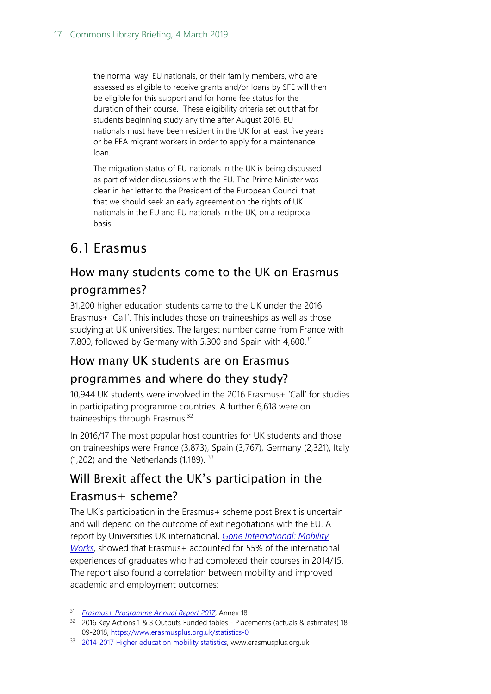the normal way. EU nationals, or their family members, who are assessed as eligible to receive grants and/or loans by SFE will then be eligible for this support and for home fee status for the duration of their course. These eligibility criteria set out that for students beginning study any time after August 2016, EU nationals must have been resident in the UK for at least five years or be EEA migrant workers in order to apply for a maintenance loan.

The migration status of EU nationals in the UK is being discussed as part of wider discussions with the EU. The Prime Minister was clear in her letter to the President of the European Council that that we should seek an early agreement on the rights of UK nationals in the EU and EU nationals in the UK, on a reciprocal basis.

### <span id="page-16-0"></span>6.1 Erasmus

### <span id="page-16-1"></span>How many students come to the UK on Erasmus

### programmes?

31,200 higher education students came to the UK under the 2016 Erasmus+ 'Call'. This includes those on traineeships as well as those studying at UK universities. The largest number came from France with 7,800, followed by Germany with 5,300 and Spain with  $4,600$ <sup>31</sup>

### <span id="page-16-2"></span>How many UK students are on Erasmus

### programmes and where do they study?

10,944 UK students were involved in the 2016 Erasmus+ 'Call' for studies in participating programme countries. A further 6,618 were on traineeships through Erasmus.<sup>32</sup>

In 2016/17 The most popular host countries for UK students and those on traineeships were France (3,873), Spain (3,767), Germany (2,321), Italy  $(1,202)$  and the Netherlands  $(1,189)$ .  $33$ 

### <span id="page-16-3"></span>Will Brexit affect the UK's participation in the

### Erasmus+ scheme?

 $\overline{a}$ 

The UK's participation in the Erasmus+ scheme post Brexit is uncertain and will depend on the outcome of exit negotiations with the EU. A report by Universities UK international, *[Gone International: Mobility](http://www.universitiesuk.ac.uk/policy-and-analysis/reports/Pages/gone-international-mobility-works.aspx)  [Works](http://www.universitiesuk.ac.uk/policy-and-analysis/reports/Pages/gone-international-mobility-works.aspx)*, showed that Erasmus+ accounted for 55% of the international experiences of graduates who had completed their courses in 2014/15. The report also found a correlation between mobility and improved academic and employment outcomes:

<sup>31</sup> *[Erasmus+ Programme Annual Report 2017](https://publications.europa.eu/en/publication-detail/-/publication/519aa03d-1f0b-11e9-8d04-01aa75ed71a1)*, Annex 18

<sup>&</sup>lt;sup>32</sup> 2016 Key Actions 1 & 3 Outputs Funded tables - Placements (actuals & estimates) 18-09-2018[, https://www.erasmusplus.org.uk/statistics-0](https://www.erasmusplus.org.uk/statistics-0)

<sup>33 2014-2017</sup> [Higher education mobility statistics,](https://www.erasmusplus.org.uk/file/6042/download) www.erasmusplus.org.uk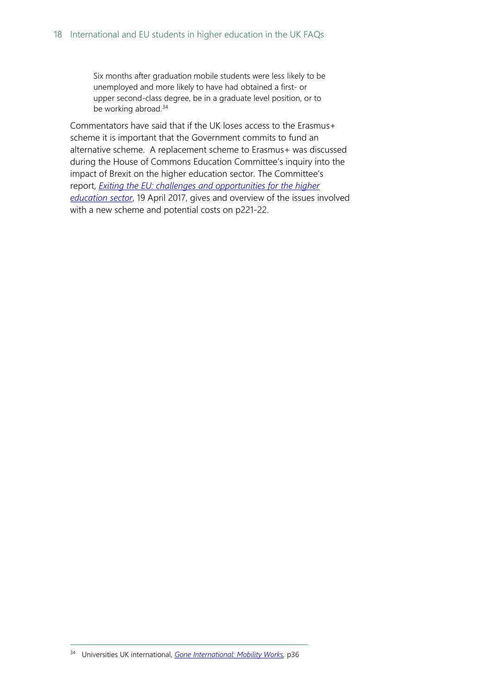Six months after graduation mobile students were less likely to be unemployed and more likely to have had obtained a first- or upper second-class degree, be in a graduate level position, or to be working abroad.<sup>34</sup>

Commentators have said that if the UK loses access to the Erasmus+ scheme it is important that the Government commits to fund an alternative scheme. A replacement scheme to Erasmus+ was discussed during the House of Commons Education Committee's inquiry into the impact of Brexit on the higher education sector. The Committee's report, *[Exiting the EU: challenges and opportunities](https://www.publications.parliament.uk/pa/cm201617/cmselect/cmeduc/683/683.pdf) for the higher [education sector](https://www.publications.parliament.uk/pa/cm201617/cmselect/cmeduc/683/683.pdf)*, 19 April 2017, gives and overview of the issues involved with a new scheme and potential costs on p221-22.

<sup>34</sup> Universities UK international, *[Gone International: Mobility Works,](http://www.universitiesuk.ac.uk/policy-and-analysis/reports/Pages/gone-international-mobility-works.aspx)* p36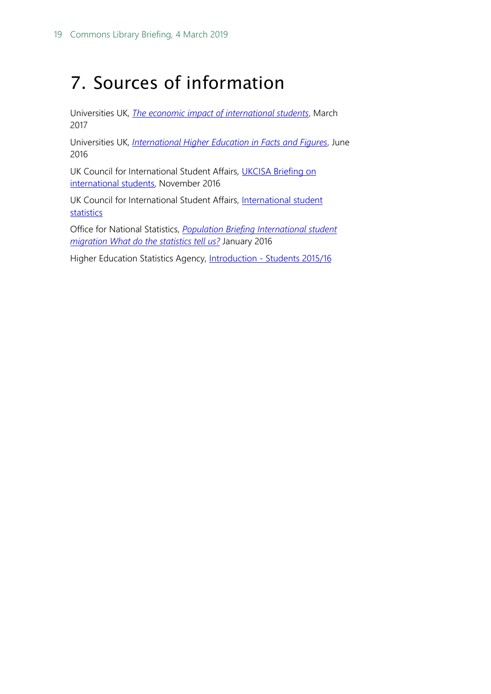## <span id="page-18-0"></span>7. Sources of information

Universities UK, *[The economic impact of international students](http://www.universitiesuk.ac.uk/policy-and-analysis/reports/Documents/2017/briefing-economic-impact-international-students.pdf)*, March 2017

Universities UK, *[International Higher Education in Facts and Figures](http://www.universitiesuk.ac.uk/policy-and-analysis/reports/Documents/2016/international-facts-and-figures-2016.pdf)*, June 2016

UK Council for International Student Affairs, [UKCISA Briefing on](https://institutions.ukcisa.org.uk/Info-for-universities-colleges--schools/Publications--research/resources/94/UKCISA-Briefing-on-international-students) [international students,](https://institutions.ukcisa.org.uk/Info-for-universities-colleges--schools/Publications--research/resources/94/UKCISA-Briefing-on-international-students) November 2016

UK Council for International Student Affairs, [International student](https://institutions.ukcisa.org.uk/Info-for-universities-colleges--schools/Policy-research--statistics/Research--statistics/International-student-statistics/)  [statistics](https://institutions.ukcisa.org.uk/Info-for-universities-colleges--schools/Policy-research--statistics/Research--statistics/International-student-statistics/)

Office for National Statistics, *[Population Briefing International student](http://webarchive.nationalarchives.gov.uk/20160105160709/http:/www.ons.gov.uk/ons/rel/migration1/long-term-international-migration/student-migration---what-do-the-statistics-tell-us-/student-migration---what-do-the-statistics-tell-us.pdf)  [migration What do the statistics tell us?](http://webarchive.nationalarchives.gov.uk/20160105160709/http:/www.ons.gov.uk/ons/rel/migration1/long-term-international-migration/student-migration---what-do-the-statistics-tell-us-/student-migration---what-do-the-statistics-tell-us.pdf)* January 2016

Higher Education Statistics Agency, Introduction - [Students 2015/16](https://www.hesa.ac.uk/data-and-analysis/publications/students-2015-16/introduction)